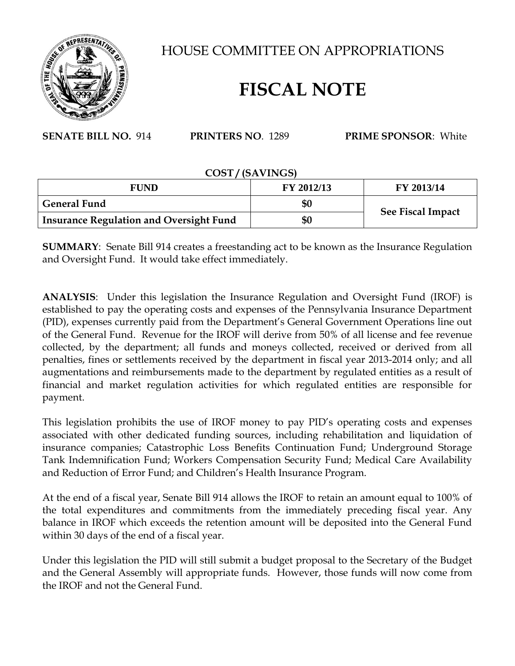

HOUSE COMMITTEE ON APPROPRIATIONS

## **FISCAL NOTE**

**SENATE BILL NO.** 914 **PRINTERS NO**. 1289 **PRIME SPONSOR**: White

## **COST / (SAVINGS)**

| <b>FUND</b>                                    | FY 2012/13 | FY 2013/14               |
|------------------------------------------------|------------|--------------------------|
| <b>General Fund</b>                            | \$0        | <b>See Fiscal Impact</b> |
| <b>Insurance Regulation and Oversight Fund</b> | \$0        |                          |

**SUMMARY**: Senate Bill 914 creates a freestanding act to be known as the Insurance Regulation and Oversight Fund. It would take effect immediately.

**ANALYSIS**: Under this legislation the Insurance Regulation and Oversight Fund (IROF) is established to pay the operating costs and expenses of the Pennsylvania Insurance Department (PID), expenses currently paid from the Department's General Government Operations line out of the General Fund. Revenue for the IROF will derive from 50% of all license and fee revenue collected, by the department; all funds and moneys collected, received or derived from all penalties, fines or settlements received by the department in fiscal year 2013-2014 only; and all augmentations and reimbursements made to the department by regulated entities as a result of financial and market regulation activities for which regulated entities are responsible for payment.

This legislation prohibits the use of IROF money to pay PID's operating costs and expenses associated with other dedicated funding sources, including rehabilitation and liquidation of insurance companies; Catastrophic Loss Benefits Continuation Fund; Underground Storage Tank Indemnification Fund; Workers Compensation Security Fund; Medical Care Availability and Reduction of Error Fund; and Children's Health Insurance Program.

At the end of a fiscal year, Senate Bill 914 allows the IROF to retain an amount equal to 100% of the total expenditures and commitments from the immediately preceding fiscal year. Any balance in IROF which exceeds the retention amount will be deposited into the General Fund within 30 days of the end of a fiscal year.

Under this legislation the PID will still submit a budget proposal to the Secretary of the Budget and the General Assembly will appropriate funds. However, those funds will now come from the IROF and not the General Fund.